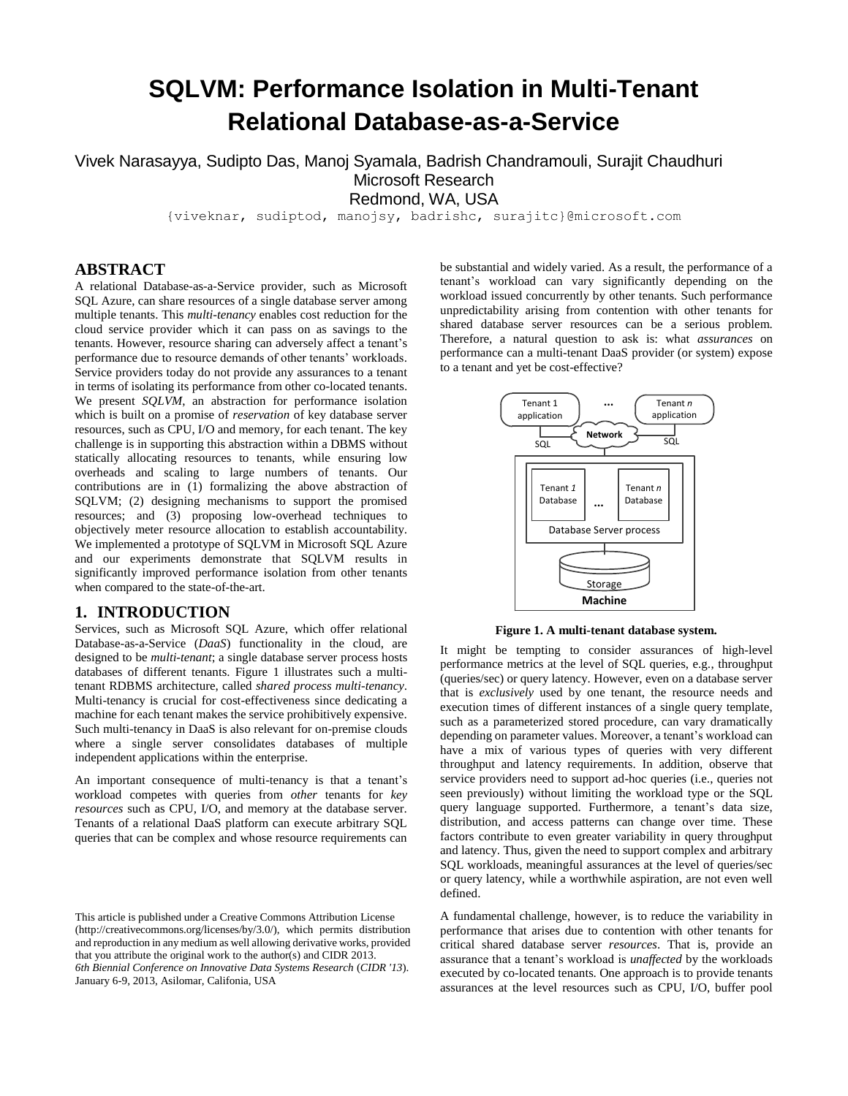# **SQLVM: Performance Isolation in Multi-Tenant Relational Database-as-a-Service**

Vivek Narasayya, Sudipto Das, Manoj Syamala, Badrish Chandramouli, Surajit Chaudhuri Microsoft Research Redmond, WA, USA

{viveknar, sudiptod, manojsy, badrishc, surajitc}@microsoft.com

# **ABSTRACT**

A relational Database-as-a-Service provider, such as Microsoft SQL Azure, can share resources of a single database server among multiple tenants. This *multi-tenancy* enables cost reduction for the cloud service provider which it can pass on as savings to the tenants. However, resource sharing can adversely affect a tenant's performance due to resource demands of other tenants' workloads. Service providers today do not provide any assurances to a tenant in terms of isolating its performance from other co-located tenants. We present *SQLVM*, an abstraction for performance isolation which is built on a promise of *reservation* of key database server resources, such as CPU, I/O and memory, for each tenant. The key challenge is in supporting this abstraction within a DBMS without statically allocating resources to tenants, while ensuring low overheads and scaling to large numbers of tenants. Our contributions are in (1) formalizing the above abstraction of SQLVM; (2) designing mechanisms to support the promised resources; and (3) proposing low-overhead techniques to objectively meter resource allocation to establish accountability. We implemented a prototype of SQLVM in Microsoft SQL Azure and our experiments demonstrate that SQLVM results in significantly improved performance isolation from other tenants when compared to the state-of-the-art.

#### **1. INTRODUCTION**

Services, such as Microsoft SQL Azure, which offer relational Database-as-a-Service (*DaaS*) functionality in the cloud, are designed to be *multi-tenant*; a single database server process hosts databases of different tenants. [Figure 1](#page-0-0) illustrates such a multitenant RDBMS architecture, called *shared process multi-tenancy*. Multi-tenancy is crucial for cost-effectiveness since dedicating a machine for each tenant makes the service prohibitively expensive. Such multi-tenancy in DaaS is also relevant for on-premise clouds where a single server consolidates databases of multiple independent applications within the enterprise.

An important consequence of multi-tenancy is that a tenant's workload competes with queries from *other* tenants for *key resources* such as CPU, I/O, and memory at the database server. Tenants of a relational DaaS platform can execute arbitrary SQL queries that can be complex and whose resource requirements can

This article is published under a Creative Commons Attribution License (http://creativecommons.org/licenses/by/3.0/), which permits distribution and reproduction in any medium as well allowing derivative works, provided that you attribute the original work to the author(s) and CIDR 2013. *6th Biennial Conference on Innovative Data Systems Research* (*CIDR '13*). January 6-9, 2013, Asilomar, Califonia, USA

be substantial and widely varied. As a result, the performance of a tenant's workload can vary significantly depending on the workload issued concurrently by other tenants. Such performance unpredictability arising from contention with other tenants for shared database server resources can be a serious problem. Therefore, a natural question to ask is: what *assurances* on performance can a multi-tenant DaaS provider (or system) expose to a tenant and yet be cost-effective?



**Figure 1. A multi-tenant database system.**

<span id="page-0-0"></span>It might be tempting to consider assurances of high-level performance metrics at the level of SQL queries, e.g., throughput (queries/sec) or query latency. However, even on a database server that is *exclusively* used by one tenant, the resource needs and execution times of different instances of a single query template, such as a parameterized stored procedure, can vary dramatically depending on parameter values. Moreover, a tenant's workload can have a mix of various types of queries with very different throughput and latency requirements. In addition, observe that service providers need to support ad-hoc queries (i.e., queries not seen previously) without limiting the workload type or the SQL query language supported. Furthermore, a tenant's data size, distribution, and access patterns can change over time. These factors contribute to even greater variability in query throughput and latency. Thus, given the need to support complex and arbitrary SQL workloads, meaningful assurances at the level of queries/sec or query latency, while a worthwhile aspiration, are not even well defined.

A fundamental challenge, however, is to reduce the variability in performance that arises due to contention with other tenants for critical shared database server *resources*. That is, provide an assurance that a tenant's workload is *unaffected* by the workloads executed by co-located tenants. One approach is to provide tenants assurances at the level resources such as CPU, I/O, buffer pool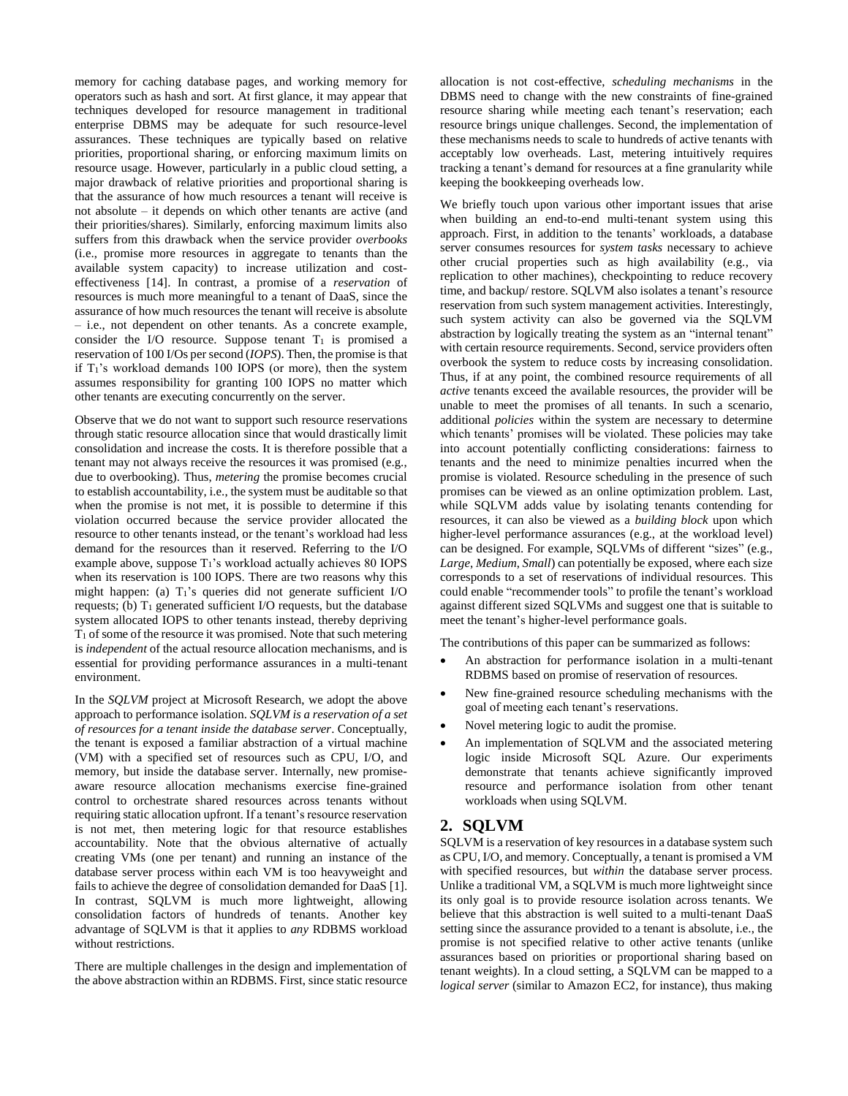memory for caching database pages, and working memory for operators such as hash and sort. At first glance, it may appear that techniques developed for resource management in traditional enterprise DBMS may be adequate for such resource-level assurances. These techniques are typically based on relative priorities, proportional sharing, or enforcing maximum limits on resource usage. However, particularly in a public cloud setting, a major drawback of relative priorities and proportional sharing is that the assurance of how much resources a tenant will receive is not absolute – it depends on which other tenants are active (and their priorities/shares). Similarly, enforcing maximum limits also suffers from this drawback when the service provider *overbooks* (i.e., promise more resources in aggregate to tenants than the available system capacity) to increase utilization and costeffectiveness [\[14\].](#page-8-0) In contrast, a promise of a *reservation* of resources is much more meaningful to a tenant of DaaS, since the assurance of how much resources the tenant will receive is absolute – i.e., not dependent on other tenants. As a concrete example, consider the I/O resource. Suppose tenant  $T_1$  is promised a reservation of 100 I/Os per second (*IOPS*). Then, the promise is that if  $T_1$ 's workload demands 100 IOPS (or more), then the system assumes responsibility for granting 100 IOPS no matter which other tenants are executing concurrently on the server.

Observe that we do not want to support such resource reservations through static resource allocation since that would drastically limit consolidation and increase the costs. It is therefore possible that a tenant may not always receive the resources it was promised (e.g., due to overbooking). Thus, *metering* the promise becomes crucial to establish accountability, i.e., the system must be auditable so that when the promise is not met, it is possible to determine if this violation occurred because the service provider allocated the resource to other tenants instead, or the tenant's workload had less demand for the resources than it reserved. Referring to the I/O example above, suppose  $T_1$ 's workload actually achieves 80 IOPS when its reservation is 100 IOPS. There are two reasons why this might happen: (a)  $T_1$ 's queries did not generate sufficient I/O requests; (b)  $T_1$  generated sufficient I/O requests, but the database system allocated IOPS to other tenants instead, thereby depriving  $T_1$  of some of the resource it was promised. Note that such metering is *independent* of the actual resource allocation mechanisms, and is essential for providing performance assurances in a multi-tenant environment.

In the *SQLVM* project at Microsoft Research, we adopt the above approach to performance isolation. *SQLVM is a reservation of a set of resources for a tenant inside the database server*. Conceptually, the tenant is exposed a familiar abstraction of a virtual machine (VM) with a specified set of resources such as CPU, I/O, and memory, but inside the database server. Internally, new promiseaware resource allocation mechanisms exercise fine-grained control to orchestrate shared resources across tenants without requiring static allocation upfront. If a tenant's resource reservation is not met, then metering logic for that resource establishes accountability. Note that the obvious alternative of actually creating VMs (one per tenant) and running an instance of the database server process within each VM is too heavyweight and fails to achieve the degree of consolidation demanded for DaaS [\[1\].](#page-7-0) In contrast, SQLVM is much more lightweight, allowing consolidation factors of hundreds of tenants. Another key advantage of SQLVM is that it applies to *any* RDBMS workload without restrictions.

There are multiple challenges in the design and implementation of the above abstraction within an RDBMS. First, since static resource

allocation is not cost-effective, *scheduling mechanisms* in the DBMS need to change with the new constraints of fine-grained resource sharing while meeting each tenant's reservation; each resource brings unique challenges. Second, the implementation of these mechanisms needs to scale to hundreds of active tenants with acceptably low overheads. Last, metering intuitively requires tracking a tenant's demand for resources at a fine granularity while keeping the bookkeeping overheads low.

We briefly touch upon various other important issues that arise when building an end-to-end multi-tenant system using this approach. First, in addition to the tenants' workloads, a database server consumes resources for *system tasks* necessary to achieve other crucial properties such as high availability (e.g., via replication to other machines), checkpointing to reduce recovery time, and backup/ restore. SQLVM also isolates a tenant's resource reservation from such system management activities. Interestingly, such system activity can also be governed via the SQLVM abstraction by logically treating the system as an "internal tenant" with certain resource requirements. Second, service providers often overbook the system to reduce costs by increasing consolidation. Thus, if at any point, the combined resource requirements of all *active* tenants exceed the available resources, the provider will be unable to meet the promises of all tenants. In such a scenario, additional *policies* within the system are necessary to determine which tenants' promises will be violated. These policies may take into account potentially conflicting considerations: fairness to tenants and the need to minimize penalties incurred when the promise is violated. Resource scheduling in the presence of such promises can be viewed as an online optimization problem. Last, while SQLVM adds value by isolating tenants contending for resources, it can also be viewed as a *building block* upon which higher-level performance assurances (e.g., at the workload level) can be designed. For example, SQLVMs of different "sizes" (e.g., *Large*, *Medium*, *Small*) can potentially be exposed, where each size corresponds to a set of reservations of individual resources. This could enable "recommender tools" to profile the tenant's workload against different sized SQLVMs and suggest one that is suitable to meet the tenant's higher-level performance goals.

The contributions of this paper can be summarized as follows:

- An abstraction for performance isolation in a multi-tenant RDBMS based on promise of reservation of resources.
- New fine-grained resource scheduling mechanisms with the goal of meeting each tenant's reservations.
- Novel metering logic to audit the promise.
- An implementation of SQLVM and the associated metering logic inside Microsoft SQL Azure. Our experiments demonstrate that tenants achieve significantly improved resource and performance isolation from other tenant workloads when using SQLVM.

#### **2. SQLVM**

SQLVM is a reservation of key resources in a database system such as CPU, I/O, and memory. Conceptually, a tenant is promised a VM with specified resources, but *within* the database server process. Unlike a traditional VM, a SQLVM is much more lightweight since its only goal is to provide resource isolation across tenants. We believe that this abstraction is well suited to a multi-tenant DaaS setting since the assurance provided to a tenant is absolute, i.e., the promise is not specified relative to other active tenants (unlike assurances based on priorities or proportional sharing based on tenant weights). In a cloud setting, a SQLVM can be mapped to a *logical server* (similar to Amazon EC2, for instance), thus making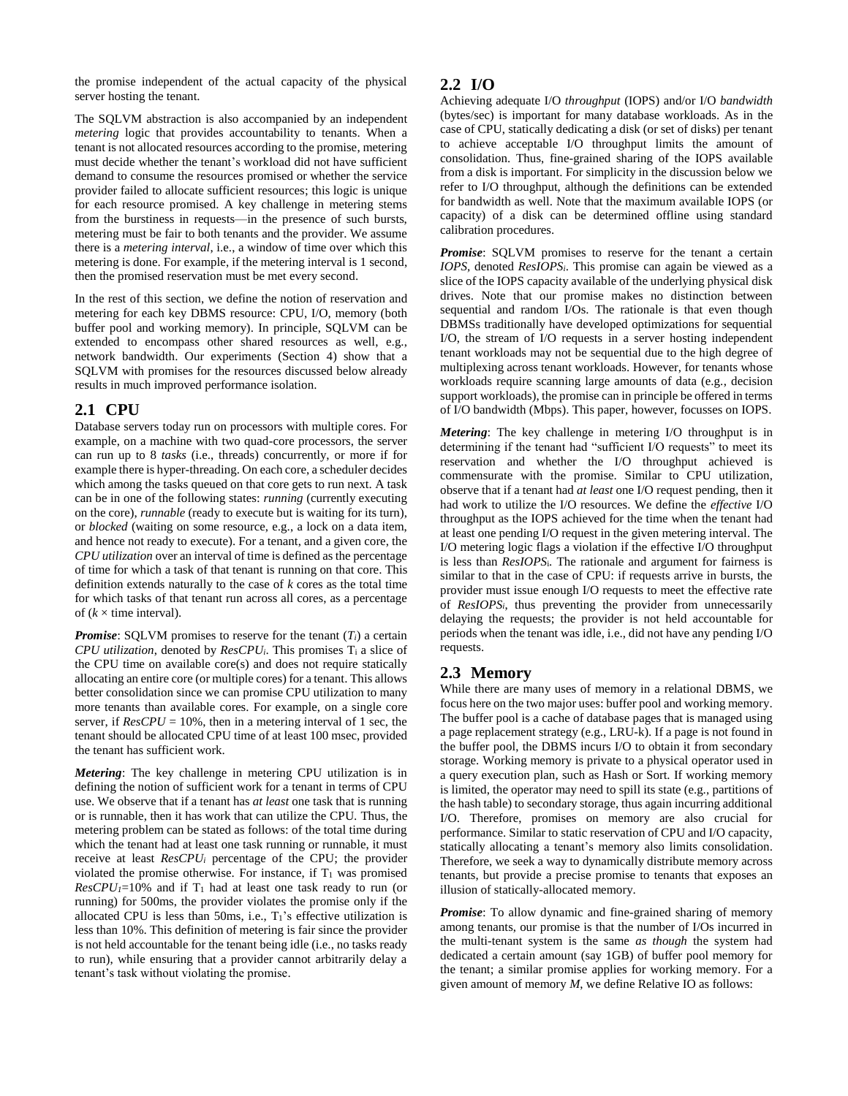the promise independent of the actual capacity of the physical server hosting the tenant.

The SQLVM abstraction is also accompanied by an independent *metering* logic that provides accountability to tenants. When a tenant is not allocated resources according to the promise, metering must decide whether the tenant's workload did not have sufficient demand to consume the resources promised or whether the service provider failed to allocate sufficient resources; this logic is unique for each resource promised. A key challenge in metering stems from the burstiness in requests—in the presence of such bursts, metering must be fair to both tenants and the provider. We assume there is a *metering interval*, i.e., a window of time over which this metering is done. For example, if the metering interval is 1 second, then the promised reservation must be met every second.

In the rest of this section, we define the notion of reservation and metering for each key DBMS resource: CPU, I/O, memory (both buffer pool and working memory). In principle, SQLVM can be extended to encompass other shared resources as well, e.g., network bandwidth. Our experiments (Section [4\)](#page-4-0) show that a SQLVM with promises for the resources discussed below already results in much improved performance isolation.

# **2.1 CPU**

Database servers today run on processors with multiple cores. For example, on a machine with two quad-core processors, the server can run up to 8 *tasks* (i.e., threads) concurrently, or more if for example there is hyper-threading. On each core, a scheduler decides which among the tasks queued on that core gets to run next. A task can be in one of the following states: *running* (currently executing on the core), *runnable* (ready to execute but is waiting for its turn), or *blocked* (waiting on some resource, e.g., a lock on a data item, and hence not ready to execute). For a tenant, and a given core, the *CPU utilization* over an interval of time is defined as the percentage of time for which a task of that tenant is running on that core. This definition extends naturally to the case of *k* cores as the total time for which tasks of that tenant run across all cores, as a percentage of  $(k \times$  time interval).

*Promise*: SOLVM promises to reserve for the tenant  $(T_i)$  a certain *CPU utilization*, denoted by  $ResCPU_i$ . This promises  $T_i$  a slice of the CPU time on available core(s) and does not require statically allocating an entire core (or multiple cores) for a tenant. This allows better consolidation since we can promise CPU utilization to many more tenants than available cores. For example, on a single core server, if  $ResCPU = 10\%$ , then in a metering interval of 1 sec, the tenant should be allocated CPU time of at least 100 msec, provided the tenant has sufficient work.

*Metering*: The key challenge in metering CPU utilization is in defining the notion of sufficient work for a tenant in terms of CPU use. We observe that if a tenant has *at least* one task that is running or is runnable, then it has work that can utilize the CPU. Thus, the metering problem can be stated as follows: of the total time during which the tenant had at least one task running or runnable, it must receive at least *ResCPU<sup>i</sup>* percentage of the CPU; the provider violated the promise otherwise. For instance, if  $T_1$  was promised  $ResCPU_{1}=10\%$  and if T<sub>1</sub> had at least one task ready to run (or running) for 500ms, the provider violates the promise only if the allocated CPU is less than 50ms, i.e., T1's effective utilization is less than 10%. This definition of metering is fair since the provider is not held accountable for the tenant being idle (i.e., no tasks ready to run), while ensuring that a provider cannot arbitrarily delay a tenant's task without violating the promise.

#### <span id="page-2-0"></span>**2.2 I/O**

Achieving adequate I/O *throughput* (IOPS) and/or I/O *bandwidth* (bytes/sec) is important for many database workloads. As in the case of CPU, statically dedicating a disk (or set of disks) per tenant to achieve acceptable I/O throughput limits the amount of consolidation. Thus, fine-grained sharing of the IOPS available from a disk is important. For simplicity in the discussion below we refer to I/O throughput, although the definitions can be extended for bandwidth as well. Note that the maximum available IOPS (or capacity) of a disk can be determined offline using standard calibration procedures.

*Promise*: SQLVM promises to reserve for the tenant a certain *IOPS,* denoted *ResIOPSi*. This promise can again be viewed as a slice of the IOPS capacity available of the underlying physical disk drives. Note that our promise makes no distinction between sequential and random I/Os. The rationale is that even though DBMSs traditionally have developed optimizations for sequential I/O, the stream of I/O requests in a server hosting independent tenant workloads may not be sequential due to the high degree of multiplexing across tenant workloads. However, for tenants whose workloads require scanning large amounts of data (e.g., decision support workloads), the promise can in principle be offered in terms of I/O bandwidth (Mbps). This paper, however, focusses on IOPS.

*Metering*: The key challenge in metering I/O throughput is in determining if the tenant had "sufficient I/O requests" to meet its reservation and whether the I/O throughput achieved is commensurate with the promise. Similar to CPU utilization, observe that if a tenant had *at least* one I/O request pending, then it had work to utilize the I/O resources. We define the *effective* I/O throughput as the IOPS achieved for the time when the tenant had at least one pending I/O request in the given metering interval. The I/O metering logic flags a violation if the effective I/O throughput is less than *ResIOPS*i. The rationale and argument for fairness is similar to that in the case of CPU: if requests arrive in bursts, the provider must issue enough I/O requests to meet the effective rate of *ResIOPSi*, thus preventing the provider from unnecessarily delaying the requests; the provider is not held accountable for periods when the tenant was idle, i.e., did not have any pending I/O requests.

# **2.3 Memory**

While there are many uses of memory in a relational DBMS, we focus here on the two major uses: buffer pool and working memory. The buffer pool is a cache of database pages that is managed using a page replacement strategy (e.g., LRU-k). If a page is not found in the buffer pool, the DBMS incurs I/O to obtain it from secondary storage. Working memory is private to a physical operator used in a query execution plan, such as Hash or Sort. If working memory is limited, the operator may need to spill its state (e.g., partitions of the hash table) to secondary storage, thus again incurring additional I/O. Therefore, promises on memory are also crucial for performance. Similar to static reservation of CPU and I/O capacity, statically allocating a tenant's memory also limits consolidation. Therefore, we seek a way to dynamically distribute memory across tenants, but provide a precise promise to tenants that exposes an illusion of statically-allocated memory.

*Promise*: To allow dynamic and fine-grained sharing of memory among tenants, our promise is that the number of I/Os incurred in the multi-tenant system is the same *as though* the system had dedicated a certain amount (say 1GB) of buffer pool memory for the tenant; a similar promise applies for working memory. For a given amount of memory *M*, we define Relative IO as follows: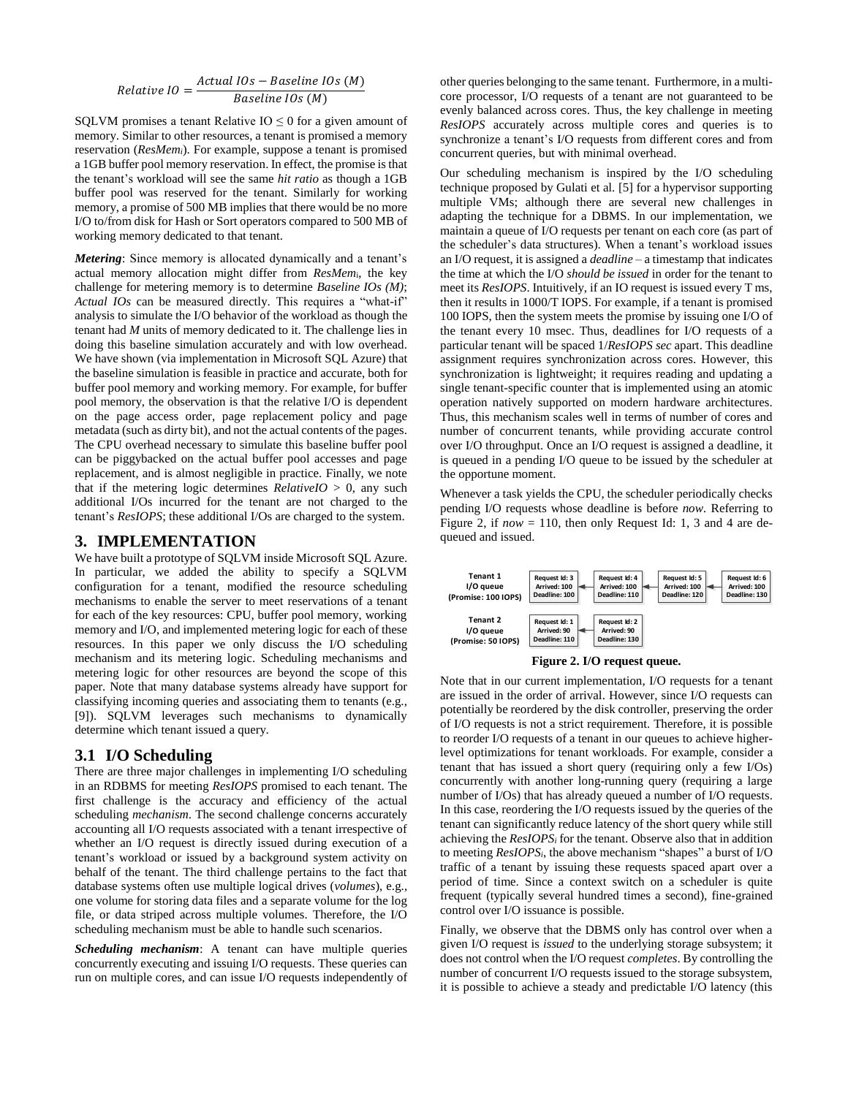$$
Relative~IO = \frac{Actual~IOS - Baseline~IOS~(M)}{Baseline~IOS~(M)}
$$

SQLVM promises a tenant Relative  $IO \leq 0$  for a given amount of memory. Similar to other resources, a tenant is promised a memory reservation (*ResMemi*). For example, suppose a tenant is promised a 1GB buffer pool memory reservation. In effect, the promise is that the tenant's workload will see the same *hit ratio* as though a 1GB buffer pool was reserved for the tenant. Similarly for working memory, a promise of 500 MB implies that there would be no more I/O to/from disk for Hash or Sort operators compared to 500 MB of working memory dedicated to that tenant.

*Metering*: Since memory is allocated dynamically and a tenant's actual memory allocation might differ from *ResMem*i, the key challenge for metering memory is to determine *Baseline IOs (M)*; *Actual IOs* can be measured directly. This requires a "what-if" analysis to simulate the I/O behavior of the workload as though the tenant had *M* units of memory dedicated to it. The challenge lies in doing this baseline simulation accurately and with low overhead. We have shown (via implementation in Microsoft SQL Azure) that the baseline simulation is feasible in practice and accurate, both for buffer pool memory and working memory. For example, for buffer pool memory, the observation is that the relative I/O is dependent on the page access order, page replacement policy and page metadata (such as dirty bit), and not the actual contents of the pages. The CPU overhead necessary to simulate this baseline buffer pool can be piggybacked on the actual buffer pool accesses and page replacement, and is almost negligible in practice. Finally, we note that if the metering logic determines  $RelativelO > 0$ , any such additional I/Os incurred for the tenant are not charged to the tenant's *ResIOPS*; these additional I/Os are charged to the system.

#### **3. IMPLEMENTATION**

We have built a prototype of SQLVM inside Microsoft SQL Azure. In particular, we added the ability to specify a SQLVM configuration for a tenant, modified the resource scheduling mechanisms to enable the server to meet reservations of a tenant for each of the key resources: CPU, buffer pool memory, working memory and I/O, and implemented metering logic for each of these resources. In this paper we only discuss the I/O scheduling mechanism and its metering logic. Scheduling mechanisms and metering logic for other resources are beyond the scope of this paper. Note that many database systems already have support for classifying incoming queries and associating them to tenants (e.g., [\[9\]\)](#page-8-1). SQLVM leverages such mechanisms to dynamically determine which tenant issued a query.

#### **3.1 I/O Scheduling**

There are three major challenges in implementing I/O scheduling in an RDBMS for meeting *ResIOPS* promised to each tenant. The first challenge is the accuracy and efficiency of the actual scheduling *mechanism*. The second challenge concerns accurately accounting all I/O requests associated with a tenant irrespective of whether an I/O request is directly issued during execution of a tenant's workload or issued by a background system activity on behalf of the tenant. The third challenge pertains to the fact that database systems often use multiple logical drives (*volumes*), e.g., one volume for storing data files and a separate volume for the log file, or data striped across multiple volumes. Therefore, the I/O scheduling mechanism must be able to handle such scenarios.

*Scheduling mechanism*: A tenant can have multiple queries concurrently executing and issuing I/O requests. These queries can run on multiple cores, and can issue I/O requests independently of other queries belonging to the same tenant. Furthermore, in a multicore processor, I/O requests of a tenant are not guaranteed to be evenly balanced across cores. Thus, the key challenge in meeting *ResIOPS* accurately across multiple cores and queries is to synchronize a tenant's I/O requests from different cores and from concurrent queries, but with minimal overhead.

Our scheduling mechanism is inspired by the I/O scheduling technique proposed by Gulati et al. [\[5\]](#page-7-1) for a hypervisor supporting multiple VMs; although there are several new challenges in adapting the technique for a DBMS. In our implementation, we maintain a queue of I/O requests per tenant on each core (as part of the scheduler's data structures). When a tenant's workload issues an I/O request, it is assigned a *deadline* – a timestamp that indicates the time at which the I/O *should be issued* in order for the tenant to meet its *ResIOPS*. Intuitively, if an IO request is issued every T ms, then it results in 1000/T IOPS. For example, if a tenant is promised 100 IOPS, then the system meets the promise by issuing one I/O of the tenant every 10 msec. Thus, deadlines for I/O requests of a particular tenant will be spaced 1/*ResIOPS sec* apart. This deadline assignment requires synchronization across cores. However, this synchronization is lightweight; it requires reading and updating a single tenant-specific counter that is implemented using an atomic operation natively supported on modern hardware architectures. Thus, this mechanism scales well in terms of number of cores and number of concurrent tenants, while providing accurate control over I/O throughput. Once an I/O request is assigned a deadline, it is queued in a pending I/O queue to be issued by the scheduler at the opportune moment.

Whenever a task yields the CPU, the scheduler periodically checks pending I/O requests whose deadline is before *now.* Referring to [Figure 2,](#page-3-0) if  $now = 110$ , then only Request Id: 1, 3 and 4 are dequeued and issued.





<span id="page-3-0"></span>Note that in our current implementation, I/O requests for a tenant are issued in the order of arrival. However, since I/O requests can potentially be reordered by the disk controller, preserving the order of I/O requests is not a strict requirement. Therefore, it is possible to reorder I/O requests of a tenant in our queues to achieve higherlevel optimizations for tenant workloads. For example, consider a tenant that has issued a short query (requiring only a few I/Os) concurrently with another long-running query (requiring a large number of I/Os) that has already queued a number of I/O requests. In this case, reordering the I/O requests issued by the queries of the tenant can significantly reduce latency of the short query while still achieving the *ResIOPS<sup>i</sup>* for the tenant. Observe also that in addition to meeting *ResIOPSi*, the above mechanism "shapes" a burst of I/O traffic of a tenant by issuing these requests spaced apart over a period of time. Since a context switch on a scheduler is quite frequent (typically several hundred times a second), fine-grained control over I/O issuance is possible.

Finally, we observe that the DBMS only has control over when a given I/O request is *issued* to the underlying storage subsystem; it does not control when the I/O request *completes*. By controlling the number of concurrent I/O requests issued to the storage subsystem, it is possible to achieve a steady and predictable I/O latency (this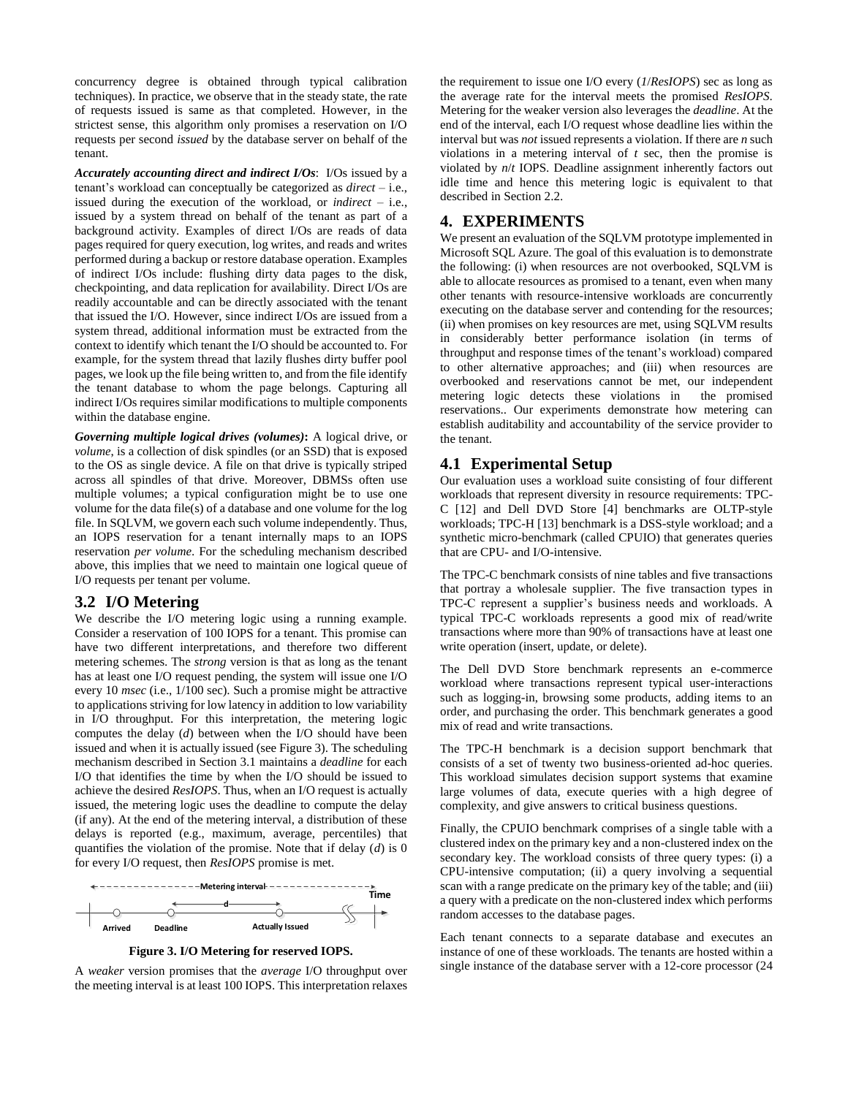concurrency degree is obtained through typical calibration techniques). In practice, we observe that in the steady state, the rate of requests issued is same as that completed. However, in the strictest sense, this algorithm only promises a reservation on I/O requests per second *issued* by the database server on behalf of the tenant.

*Accurately accounting direct and indirect I/Os*: I/Os issued by a tenant's workload can conceptually be categorized as *direct* – i.e., issued during the execution of the workload, or *indirect* – i.e., issued by a system thread on behalf of the tenant as part of a background activity. Examples of direct I/Os are reads of data pages required for query execution, log writes, and reads and writes performed during a backup or restore database operation. Examples of indirect I/Os include: flushing dirty data pages to the disk, checkpointing, and data replication for availability. Direct I/Os are readily accountable and can be directly associated with the tenant that issued the I/O. However, since indirect I/Os are issued from a system thread, additional information must be extracted from the context to identify which tenant the I/O should be accounted to. For example, for the system thread that lazily flushes dirty buffer pool pages, we look up the file being written to, and from the file identify the tenant database to whom the page belongs. Capturing all indirect I/Os requires similar modifications to multiple components within the database engine.

*Governing multiple logical drives (volumes)***:** A logical drive, or *volume*, is a collection of disk spindles (or an SSD) that is exposed to the OS as single device. A file on that drive is typically striped across all spindles of that drive. Moreover, DBMSs often use multiple volumes; a typical configuration might be to use one volume for the data file(s) of a database and one volume for the log file. In SQLVM, we govern each such volume independently. Thus, an IOPS reservation for a tenant internally maps to an IOPS reservation *per volume*. For the scheduling mechanism described above, this implies that we need to maintain one logical queue of I/O requests per tenant per volume.

#### **3.2 I/O Metering**

We describe the I/O metering logic using a running example. Consider a reservation of 100 IOPS for a tenant. This promise can have two different interpretations, and therefore two different metering schemes. The *strong* version is that as long as the tenant has at least one I/O request pending, the system will issue one I/O every 10 *msec* (i.e., 1/100 sec). Such a promise might be attractive to applications striving for low latency in addition to low variability in I/O throughput. For this interpretation, the metering logic computes the delay (*d*) between when the I/O should have been issued and when it is actually issued (see [Figure 3\)](#page-4-1). The scheduling mechanism described in Section 3.1 maintains a *deadline* for each I/O that identifies the time by when the I/O should be issued to achieve the desired *ResIOPS*. Thus, when an I/O request is actually issued, the metering logic uses the deadline to compute the delay (if any). At the end of the metering interval, a distribution of these delays is reported (e.g., maximum, average, percentiles) that quantifies the violation of the promise. Note that if delay (*d*) is 0 for every I/O request, then *ResIOPS* promise is met.



**Figure 3. I/O Metering for reserved IOPS.**

<span id="page-4-1"></span>A *weaker* version promises that the *average* I/O throughput over the meeting interval is at least 100 IOPS. This interpretation relaxes the requirement to issue one I/O every (*1*/*ResIOPS*) sec as long as the average rate for the interval meets the promised *ResIOPS*. Metering for the weaker version also leverages the *deadline*. At the end of the interval, each I/O request whose deadline lies within the interval but was *not* issued represents a violation. If there are *n* such violations in a metering interval of *t* sec, then the promise is violated by *n*/*t* IOPS. Deadline assignment inherently factors out idle time and hence this metering logic is equivalent to that described in Section [2.2.](#page-2-0)

### <span id="page-4-0"></span>**4. EXPERIMENTS**

We present an evaluation of the SQLVM prototype implemented in Microsoft SQL Azure. The goal of this evaluation is to demonstrate the following: (i) when resources are not overbooked, SQLVM is able to allocate resources as promised to a tenant, even when many other tenants with resource-intensive workloads are concurrently executing on the database server and contending for the resources; (ii) when promises on key resources are met, using SQLVM results in considerably better performance isolation (in terms of throughput and response times of the tenant's workload) compared to other alternative approaches; and (iii) when resources are overbooked and reservations cannot be met, our independent metering logic detects these violations in reservations.. Our experiments demonstrate how metering can establish auditability and accountability of the service provider to the tenant.

### **4.1 Experimental Setup**

Our evaluation uses a workload suite consisting of four different workloads that represent diversity in resource requirements: TPC-C [\[12\]](#page-8-2) and Dell DVD Store [\[4\]](#page-7-2) benchmarks are OLTP-style workloads; TPC-H [\[13\]](#page-8-3) benchmark is a DSS-style workload; and a synthetic micro-benchmark (called CPUIO) that generates queries that are CPU- and I/O-intensive.

The TPC-C benchmark consists of nine tables and five transactions that portray a wholesale supplier. The five transaction types in TPC-C represent a supplier's business needs and workloads. A typical TPC-C workloads represents a good mix of read/write transactions where more than 90% of transactions have at least one write operation (insert, update, or delete).

The Dell DVD Store benchmark represents an e-commerce workload where transactions represent typical user-interactions such as logging-in, browsing some products, adding items to an order, and purchasing the order. This benchmark generates a good mix of read and write transactions.

The TPC-H benchmark is a decision support benchmark that consists of a set of twenty two business-oriented ad-hoc queries. This workload simulates decision support systems that examine large volumes of data, execute queries with a high degree of complexity, and give answers to critical business questions.

Finally, the CPUIO benchmark comprises of a single table with a clustered index on the primary key and a non-clustered index on the secondary key. The workload consists of three query types: (i) a CPU-intensive computation; (ii) a query involving a sequential scan with a range predicate on the primary key of the table; and (iii) a query with a predicate on the non-clustered index which performs random accesses to the database pages.

Each tenant connects to a separate database and executes an instance of one of these workloads. The tenants are hosted within a single instance of the database server with a 12-core processor (24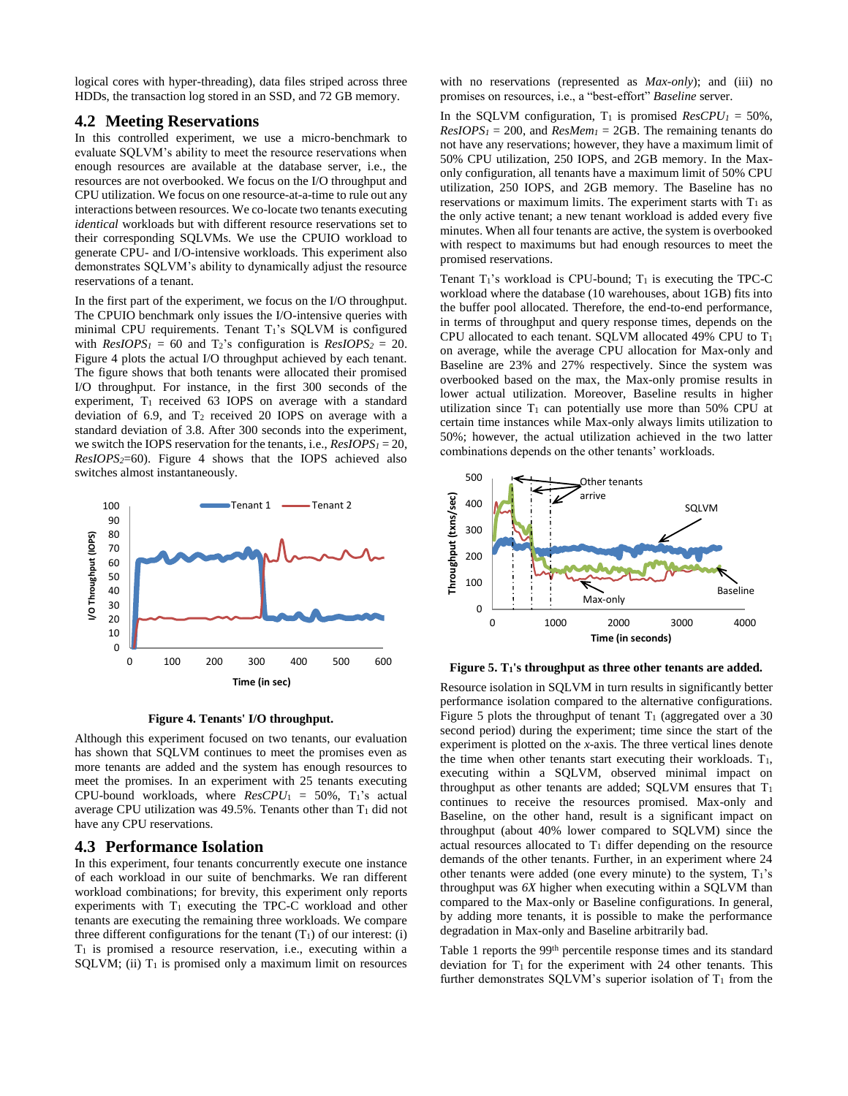logical cores with hyper-threading), data files striped across three HDDs, the transaction log stored in an SSD, and 72 GB memory.

#### **4.2 Meeting Reservations**

In this controlled experiment, we use a micro-benchmark to evaluate SQLVM's ability to meet the resource reservations when enough resources are available at the database server, i.e., the resources are not overbooked. We focus on the I/O throughput and CPU utilization. We focus on one resource-at-a-time to rule out any interactions between resources. We co-locate two tenants executing *identical* workloads but with different resource reservations set to their corresponding SQLVMs. We use the CPUIO workload to generate CPU- and I/O-intensive workloads. This experiment also demonstrates SQLVM's ability to dynamically adjust the resource reservations of a tenant.

In the first part of the experiment, we focus on the I/O throughput. The CPUIO benchmark only issues the I/O-intensive queries with minimal CPU requirements. Tenant  $T_1$ 's SQLVM is configured with  $ResIOPS<sub>1</sub> = 60$  and  $T<sub>2</sub>$ 's configuration is  $ResIOPS<sub>2</sub> = 20$ . [Figure 4](#page-5-0) plots the actual I/O throughput achieved by each tenant. The figure shows that both tenants were allocated their promised I/O throughput. For instance, in the first 300 seconds of the experiment,  $T_1$  received 63 IOPS on average with a standard deviation of 6.9, and T<sup>2</sup> received 20 IOPS on average with a standard deviation of 3.8. After 300 seconds into the experiment, we switch the IOPS reservation for the tenants, i.e., *ResIOPS<sup>1</sup>* = 20, *ResIOPS2*=60). [Figure 4](#page-5-0) shows that the IOPS achieved also switches almost instantaneously.



**Figure 4. Tenants' I/O throughput.**

<span id="page-5-0"></span>Although this experiment focused on two tenants, our evaluation has shown that SQLVM continues to meet the promises even as more tenants are added and the system has enough resources to meet the promises. In an experiment with 25 tenants executing CPU-bound workloads, where *ResCPU*<sup>1</sup> = 50%, T1's actual average CPU utilization was  $49.5\%$ . Tenants other than  $T_1$  did not have any CPU reservations.

#### **4.3 Performance Isolation**

In this experiment, four tenants concurrently execute one instance of each workload in our suite of benchmarks. We ran different workload combinations; for brevity, this experiment only reports experiments with  $T_1$  executing the TPC-C workload and other tenants are executing the remaining three workloads. We compare three different configurations for the tenant  $(T_1)$  of our interest: (i)  $T_1$  is promised a resource reservation, i.e., executing within a SQLVM; (ii)  $T_1$  is promised only a maximum limit on resources

with no reservations (represented as *Max-only*); and (iii) no promises on resources, i.e., a "best-effort" *Baseline* server.

In the SQLVM configuration,  $T_1$  is promised  $ResCPU_1 = 50\%$ ,  $ResIOPS<sub>1</sub> = 200$ , and  $ResMem<sub>1</sub> = 2GB$ . The remaining tenants do not have any reservations; however, they have a maximum limit of 50% CPU utilization, 250 IOPS, and 2GB memory. In the Maxonly configuration, all tenants have a maximum limit of 50% CPU utilization, 250 IOPS, and 2GB memory. The Baseline has no reservations or maximum limits. The experiment starts with  $T_1$  as the only active tenant; a new tenant workload is added every five minutes. When all four tenants are active, the system is overbooked with respect to maximums but had enough resources to meet the promised reservations.

Tenant  $T_1$ 's workload is CPU-bound;  $T_1$  is executing the TPC-C workload where the database (10 warehouses, about 1GB) fits into the buffer pool allocated. Therefore, the end-to-end performance, in terms of throughput and query response times, depends on the CPU allocated to each tenant. SQLVM allocated 49% CPU to T<sup>1</sup> on average, while the average CPU allocation for Max-only and Baseline are 23% and 27% respectively. Since the system was overbooked based on the max, the Max-only promise results in lower actual utilization. Moreover, Baseline results in higher utilization since  $T_1$  can potentially use more than 50% CPU at certain time instances while Max-only always limits utilization to 50%; however, the actual utilization achieved in the two latter combinations depends on the other tenants' workloads.



<span id="page-5-1"></span>**Figure 5. T1's throughput as three other tenants are added.**

Resource isolation in SQLVM in turn results in significantly better performance isolation compared to the alternative configurations. [Figure 5](#page-5-1) plots the throughput of tenant  $T_1$  (aggregated over a 30 second period) during the experiment; time since the start of the experiment is plotted on the *x*-axis. The three vertical lines denote the time when other tenants start executing their workloads.  $T_1$ , executing within a SQLVM, observed minimal impact on throughput as other tenants are added;  $SQLVM$  ensures that  $T_1$ continues to receive the resources promised. Max-only and Baseline, on the other hand, result is a significant impact on throughput (about 40% lower compared to SQLVM) since the actual resources allocated to  $T_1$  differ depending on the resource demands of the other tenants. Further, in an experiment where 24 other tenants were added (one every minute) to the system,  $T_1$ 's throughput was *6X* higher when executing within a SQLVM than compared to the Max-only or Baseline configurations. In general, by adding more tenants, it is possible to make the performance degradation in Max-only and Baseline arbitrarily bad.

[Table 1](#page-6-0) reports the 99th percentile response times and its standard deviation for  $T_1$  for the experiment with 24 other tenants. This further demonstrates SOLVM's superior isolation of  $T_1$  from the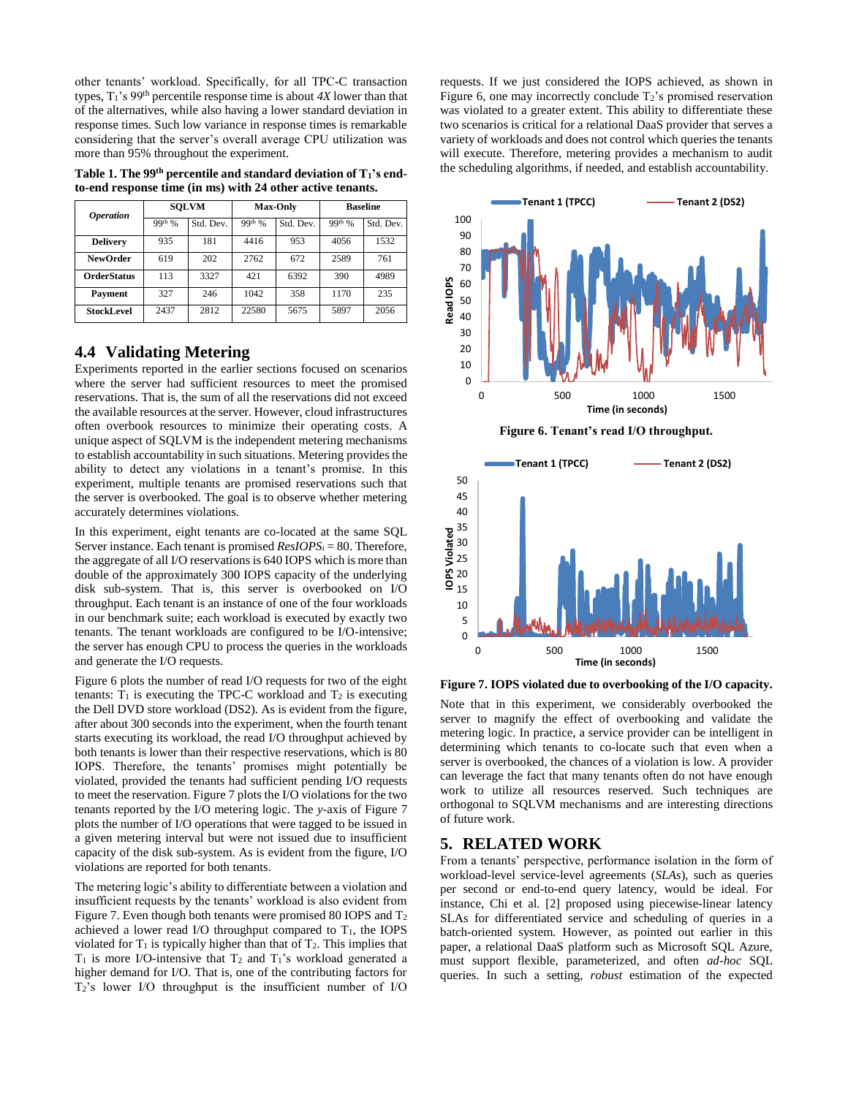other tenants' workload. Specifically, for all TPC-C transaction types,  $T_1$ 's 99<sup>th</sup> percentile response time is about  $4X$  lower than that of the alternatives, while also having a lower standard deviation in response times. Such low variance in response times is remarkable considering that the server's overall average CPU utilization was more than 95% throughout the experiment.

<span id="page-6-0"></span>**Table 1. The 99th percentile and standard deviation of T1's endto-end response time (in ms) with 24 other active tenants.**

| <i><b>Operation</b></i> | <b>SOLVM</b> |           | <b>Max-Only</b> |           | <b>Baseline</b> |           |
|-------------------------|--------------|-----------|-----------------|-----------|-----------------|-----------|
|                         | $99^{th}$ %  | Std. Dev. | $99^{th}$ %     | Std. Dev. | $99th$ %        | Std. Dev. |
| <b>Delivery</b>         | 935          | 181       | 4416            | 953       | 4056            | 1532      |
| <b>NewOrder</b>         | 619          | 202       | 2762            | 672       | 2589            | 761       |
| <b>OrderStatus</b>      | 113          | 3327      | 421             | 6392      | 390             | 4989      |
| Payment                 | 327          | 246       | 1042            | 358       | 1170            | 235       |
| <b>StockLevel</b>       | 2437         | 2812      | 22580           | 5675      | 5897            | 2056      |

#### **4.4 Validating Metering**

Experiments reported in the earlier sections focused on scenarios where the server had sufficient resources to meet the promised reservations. That is, the sum of all the reservations did not exceed the available resources at the server. However, cloud infrastructures often overbook resources to minimize their operating costs. A unique aspect of SQLVM is the independent metering mechanisms to establish accountability in such situations. Metering provides the ability to detect any violations in a tenant's promise. In this experiment, multiple tenants are promised reservations such that the server is overbooked. The goal is to observe whether metering accurately determines violations.

In this experiment, eight tenants are co-located at the same SQL Server instance. Each tenant is promised *ResIOPS<sup>i</sup>* = 80. Therefore, the aggregate of all I/O reservations is 640 IOPS which is more than double of the approximately 300 IOPS capacity of the underlying disk sub-system. That is, this server is overbooked on I/O throughput. Each tenant is an instance of one of the four workloads in our benchmark suite; each workload is executed by exactly two tenants. The tenant workloads are configured to be I/O-intensive; the server has enough CPU to process the queries in the workloads and generate the I/O requests.

[Figure 6](#page-6-1) plots the number of read I/O requests for two of the eight tenants:  $T_1$  is executing the TPC-C workload and  $T_2$  is executing the Dell DVD store workload (DS2). As is evident from the figure, after about 300 seconds into the experiment, when the fourth tenant starts executing its workload, the read I/O throughput achieved by both tenants is lower than their respective reservations, which is 80 IOPS. Therefore, the tenants' promises might potentially be violated, provided the tenants had sufficient pending I/O requests to meet the reservation[. Figure 7](#page-6-2) plots the I/O violations for the two tenants reported by the I/O metering logic. The *y*-axis of [Figure 7](#page-6-2) plots the number of I/O operations that were tagged to be issued in a given metering interval but were not issued due to insufficient capacity of the disk sub-system. As is evident from the figure, I/O violations are reported for both tenants.

The metering logic's ability to differentiate between a violation and insufficient requests by the tenants' workload is also evident from [Figure 7.](#page-6-2) Even though both tenants were promised 80 IOPS and T<sup>2</sup> achieved a lower read I/O throughput compared to  $T_1$ , the IOPS violated for  $T_1$  is typically higher than that of  $T_2$ . This implies that  $T_1$  is more I/O-intensive that  $T_2$  and  $T_1$ 's workload generated a higher demand for I/O. That is, one of the contributing factors for T2's lower I/O throughput is the insufficient number of I/O

requests. If we just considered the IOPS achieved, as shown in [Figure 6,](#page-6-1) one may incorrectly conclude  $T_2$ 's promised reservation was violated to a greater extent. This ability to differentiate these two scenarios is critical for a relational DaaS provider that serves a variety of workloads and does not control which queries the tenants will execute. Therefore, metering provides a mechanism to audit the scheduling algorithms, if needed, and establish accountability.



<span id="page-6-1"></span>

<span id="page-6-2"></span>**Figure 7. IOPS violated due to overbooking of the I/O capacity.**

Note that in this experiment, we considerably overbooked the server to magnify the effect of overbooking and validate the metering logic. In practice, a service provider can be intelligent in determining which tenants to co-locate such that even when a server is overbooked, the chances of a violation is low. A provider can leverage the fact that many tenants often do not have enough work to utilize all resources reserved. Such techniques are orthogonal to SQLVM mechanisms and are interesting directions of future work.

#### **5. RELATED WORK**

From a tenants' perspective, performance isolation in the form of workload-level service-level agreements (*SLAs*), such as queries per second or end-to-end query latency, would be ideal. For instance, Chi et al. [\[2\]](#page-7-3) proposed using piecewise-linear latency SLAs for differentiated service and scheduling of queries in a batch-oriented system. However, as pointed out earlier in this paper, a relational DaaS platform such as Microsoft SQL Azure, must support flexible, parameterized, and often *ad-hoc* SQL queries. In such a setting, *robust* estimation of the expected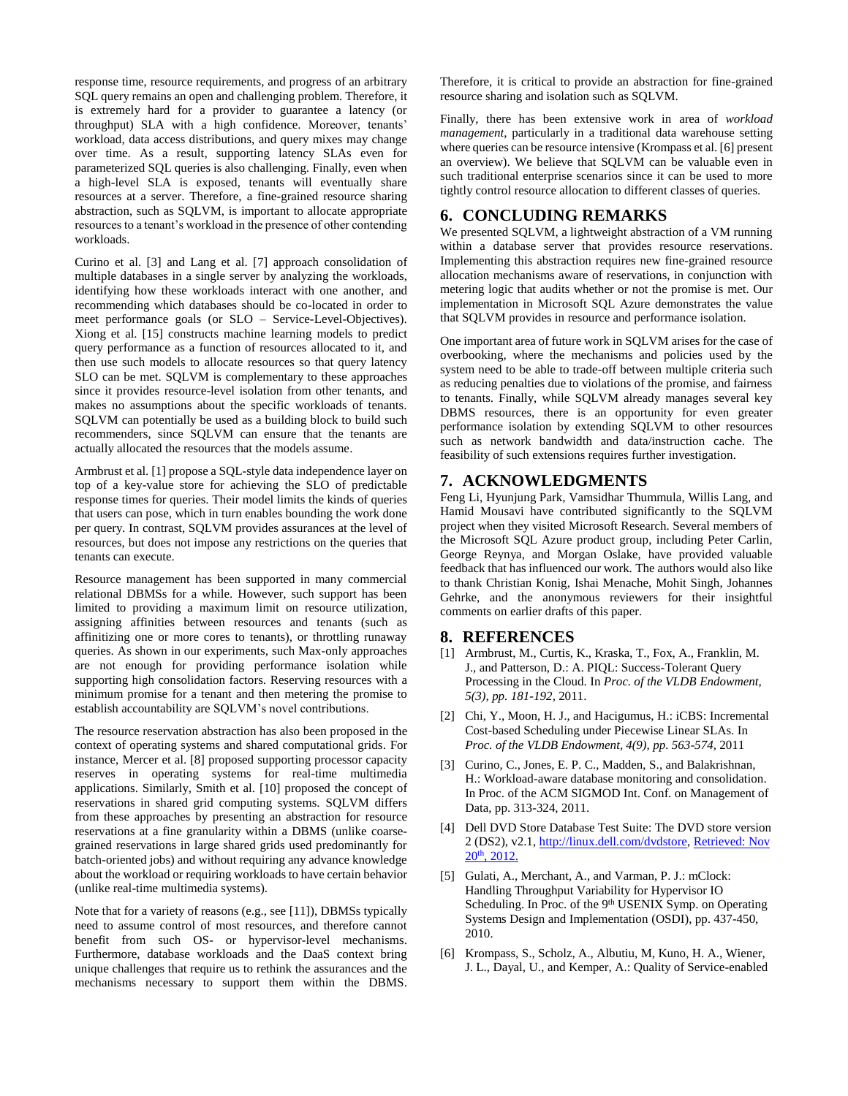response time, resource requirements, and progress of an arbitrary SQL query remains an open and challenging problem. Therefore, it is extremely hard for a provider to guarantee a latency (or throughput) SLA with a high confidence. Moreover, tenants' workload, data access distributions, and query mixes may change over time. As a result, supporting latency SLAs even for parameterized SQL queries is also challenging. Finally, even when a high-level SLA is exposed, tenants will eventually share resources at a server. Therefore, a fine-grained resource sharing abstraction, such as SQLVM, is important to allocate appropriate resources to a tenant's workload in the presence of other contending workloads.

Curino et al. [\[3\]](#page-7-4) and Lang et al. [\[7\]](#page-8-4) approach consolidation of multiple databases in a single server by analyzing the workloads, identifying how these workloads interact with one another, and recommending which databases should be co-located in order to meet performance goals (or SLO – Service-Level-Objectives). Xiong et al. [\[15\]](#page-8-5) constructs machine learning models to predict query performance as a function of resources allocated to it, and then use such models to allocate resources so that query latency SLO can be met. SOLVM is complementary to these approaches since it provides resource-level isolation from other tenants, and makes no assumptions about the specific workloads of tenants. SQLVM can potentially be used as a building block to build such recommenders, since SQLVM can ensure that the tenants are actually allocated the resources that the models assume.

Armbrust et al[. \[1\]](#page-7-0) propose a SQL-style data independence layer on top of a key-value store for achieving the SLO of predictable response times for queries. Their model limits the kinds of queries that users can pose, which in turn enables bounding the work done per query. In contrast, SQLVM provides assurances at the level of resources, but does not impose any restrictions on the queries that tenants can execute.

Resource management has been supported in many commercial relational DBMSs for a while. However, such support has been limited to providing a maximum limit on resource utilization, assigning affinities between resources and tenants (such as affinitizing one or more cores to tenants), or throttling runaway queries. As shown in our experiments, such Max-only approaches are not enough for providing performance isolation while supporting high consolidation factors. Reserving resources with a minimum promise for a tenant and then metering the promise to establish accountability are SQLVM's novel contributions.

The resource reservation abstraction has also been proposed in the context of operating systems and shared computational grids. For instance, Mercer et al. [\[8\]](#page-8-6) proposed supporting processor capacity reserves in operating systems for real-time multimedia applications. Similarly, Smith et al. [\[10\]](#page-8-7) proposed the concept of reservations in shared grid computing systems. SQLVM differs from these approaches by presenting an abstraction for resource reservations at a fine granularity within a DBMS (unlike coarsegrained reservations in large shared grids used predominantly for batch-oriented jobs) and without requiring any advance knowledge about the workload or requiring workloads to have certain behavior (unlike real-time multimedia systems).

Note that for a variety of reasons (e.g., see [\[11\]\)](#page-8-8), DBMSs typically need to assume control of most resources, and therefore cannot benefit from such OS- or hypervisor-level mechanisms. Furthermore, database workloads and the DaaS context bring unique challenges that require us to rethink the assurances and the mechanisms necessary to support them within the DBMS.

Therefore, it is critical to provide an abstraction for fine-grained resource sharing and isolation such as SQLVM.

Finally, there has been extensive work in area of *workload management*, particularly in a traditional data warehouse setting where queries can be resource intensive [\(Krompass](http://www.informatik.uni-trier.de/~ley/db/indices/a-tree/k/Krompass:Stefan.html) et al[. \[6\]](#page-7-5) present an overview). We believe that SQLVM can be valuable even in such traditional enterprise scenarios since it can be used to more tightly control resource allocation to different classes of queries.

### **6. CONCLUDING REMARKS**

We presented SQLVM, a lightweight abstraction of a VM running within a database server that provides resource reservations. Implementing this abstraction requires new fine-grained resource allocation mechanisms aware of reservations, in conjunction with metering logic that audits whether or not the promise is met. Our implementation in Microsoft SQL Azure demonstrates the value that SQLVM provides in resource and performance isolation.

One important area of future work in SQLVM arises for the case of overbooking, where the mechanisms and policies used by the system need to be able to trade-off between multiple criteria such as reducing penalties due to violations of the promise, and fairness to tenants. Finally, while SQLVM already manages several key DBMS resources, there is an opportunity for even greater performance isolation by extending SQLVM to other resources such as network bandwidth and data/instruction cache. The feasibility of such extensions requires further investigation.

# **7. ACKNOWLEDGMENTS**

Feng Li, Hyunjung Park, Vamsidhar Thummula, Willis Lang, and Hamid Mousavi have contributed significantly to the SQLVM project when they visited Microsoft Research. Several members of the Microsoft SQL Azure product group, including Peter Carlin, George Reynya, and Morgan Oslake, have provided valuable feedback that has influenced our work. The authors would also like to thank Christian Konig, Ishai Menache, Mohit Singh, Johannes Gehrke, and the anonymous reviewers for their insightful comments on earlier drafts of this paper.

#### **8. REFERENCES**

- <span id="page-7-0"></span>[1] Armbrust, M., Curtis, K., Kraska, T., Fox, A., Franklin, M. J., and Patterson, D.: A. PIQL: Success-Tolerant Query Processing in the Cloud. In *Proc. of the VLDB Endowment, 5(3), pp. 181-192,* 2011.
- <span id="page-7-3"></span>[2] Chi, Y., Moon, H. J., and Hacigumus, H.: iCBS: Incremental Cost-based Scheduling under Piecewise Linear SLAs. In *Proc. of the VLDB Endowment, 4(9), pp. 563-574,* 2011
- <span id="page-7-4"></span>[3] Curino, C., Jones, E. P. C., Madden, S., and Balakrishnan, H.: Workload-aware database monitoring and consolidation. In Proc. of the ACM SIGMOD Int. Conf. on Management of Data, pp. 313-324, 2011.
- <span id="page-7-2"></span>[4] Dell DVD Store Database Test Suite: The DVD store version 2 (DS2), v2.1[, http://linux.dell.com/dvdstore,](http://linux.dell.com/dvdstore) Retrieved: Nov 20th, 2012.
- <span id="page-7-1"></span>[5] Gulati, A., Merchant, A., and Varman, P. J.: mClock: Handling Throughput Variability for Hypervisor IO Scheduling. In Proc. of the 9<sup>th</sup> USENIX Symp. on Operating Systems Design and Implementation (OSDI), pp. 437-450, 2010.
- <span id="page-7-5"></span>[6] [Krompass,](http://www.informatik.uni-trier.de/~ley/db/indices/a-tree/k/Krompass:Stefan.html) S., Scholz, A., Albutiu, M, Kuno, H. A., Wiener, J. L., Dayal, U., and Kemper, A.: Quality of Service-enabled